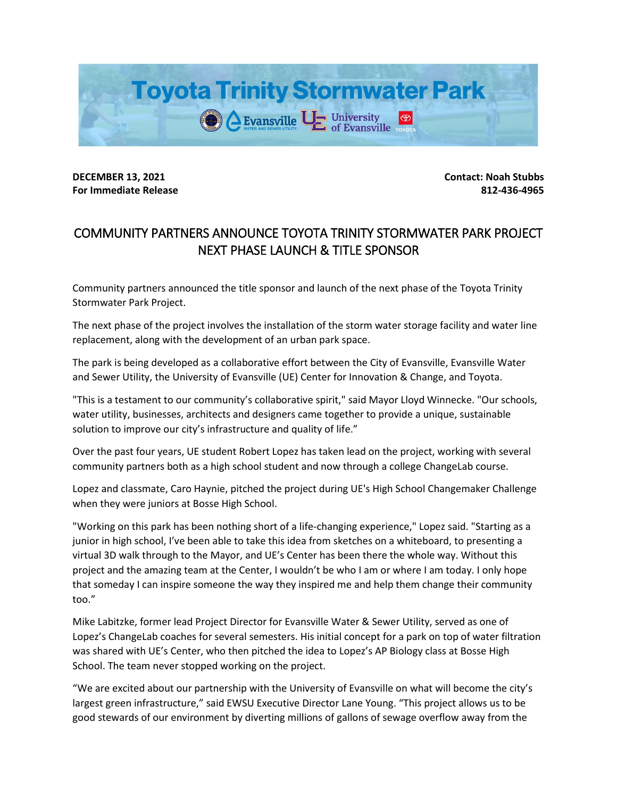

**DECEMBER 13, 2021 Contact: Noah Stubbs For Immediate Release 812-436-4965**

## COMMUNITY PARTNERS ANNOUNCE TOYOTA TRINITY STORMWATER PARK PROJECT NEXT PHASE LAUNCH & TITLE SPONSOR

Community partners announced the title sponsor and launch of the next phase of the Toyota Trinity Stormwater Park Project.

The next phase of the project involves the installation of the storm water storage facility and water line replacement, along with the development of an urban park space.

The park is being developed as a collaborative effort between the City of Evansville, Evansville Water and Sewer Utility, the University of Evansville (UE) Center for Innovation & Change, and Toyota.

"This is a testament to our community's collaborative spirit," said Mayor Lloyd Winnecke. "Our schools, water utility, businesses, architects and designers came together to provide a unique, sustainable solution to improve our city's infrastructure and quality of life."

Over the past four years, UE student Robert Lopez has taken lead on the project, working with several community partners both as a high school student and now through a college ChangeLab course.

Lopez and classmate, Caro Haynie, pitched the project during UE's High School Changemaker Challenge when they were juniors at Bosse High School.

"Working on this park has been nothing short of a life-changing experience," Lopez said. "Starting as a junior in high school, I've been able to take this idea from sketches on a whiteboard, to presenting a virtual 3D walk through to the Mayor, and UE's Center has been there the whole way. Without this project and the amazing team at the Center, I wouldn't be who I am or where I am today. I only hope that someday I can inspire someone the way they inspired me and help them change their community too."

Mike Labitzke, former lead Project Director for Evansville Water & Sewer Utility, served as one of Lopez's ChangeLab coaches for several semesters. His initial concept for a park on top of water filtration was shared with UE's Center, who then pitched the idea to Lopez's AP Biology class at Bosse High School. The team never stopped working on the project.

"We are excited about our partnership with the University of Evansville on what will become the city's largest green infrastructure," said EWSU Executive Director Lane Young. "This project allows us to be good stewards of our environment by diverting millions of gallons of sewage overflow away from the